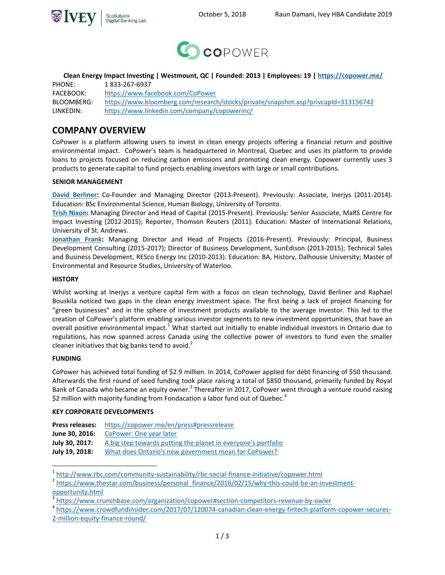



**Clean Energy Impact Investing | Westmount, QC | Founded: 2013 | Employees: 19 | <https://copower.me/>**

PHONE: 1 833-267-6937 FACEBOOK: <https://www.facebook.com/CoPower> BLOOMBERG: https://www.bloomberg.com/research/stocks/private/snapshot.asp?privcapId=313156742 LINKEDIN: https://www.linkedin.com/company/copowerinc/

# **COMPANY OVERVIEW**

CoPower is a platform allowing users to invest in clean energy projects offering a financial return and positive environmental impact. CoPower's team is headquartered in Montreal, Quebec and uses its platform to provide loans to projects focused on reducing carbon emissions and promoting clean energy. Copower currently uses 3 products to generate capital to fund projects enabling investors with large or small contributions.

# **SENIOR MANAGEMENT**

**[David Berliner:](https://www.linkedin.com/in/david-berliner-a2725923/)** Co-Founder and Managing Director (2013-Present). Previously: Associate, Inerjys (2011-2014). Education: BSc Environmental Science, Human Biology, University of Toronto.

**[Trish Nixon:](https://www.linkedin.com/in/trish-nixon/)** Managing Director and Head of Capital (2015-Present). Previously: Senior Associate, MaRS Centre for Impact Investing (2012-2015); Reporter, Thomson Reuters (2011). Education: Master of International Relations, University of St. Andrews.

**[Jonathan](https://www.linkedin.com/in/jonathanfranktoronto/) Frank:** Managing Director and Head of Projects (2016-Present). Previously: Principal, Business Development Consulting (2015-2017); Director of Business Development, SunEdison (2013-2015); Technical Sales and Business Development, RESco Energy Inc (2010-2013). Education: BA, History, Dalhousie University; Master of Environmental and Resource Studies, University of Waterloo.

# **HISTORY**

Whilst working at Inerjys a venture capital firm with a focus on clean technology, David Berliner and Raphael Bouskila noticed two gaps in the clean energy investment space. The first being a lack of project financing for "green businesses" and in the sphere of investment products available to the average investor. This led to the creation of CoPower's platform enabling various investor segments to new investment opportunities, that have an overall positive environmental impact.<sup>1</sup> What started out initially to enable individual investors in Ontario due to regulations, has now spanned across Canada using the collective power of investors to fund even the smaller cleaner initiatives that big banks tend to avoid.<sup>2</sup>

# **FUNDING**

CoPower has achieved total funding of \$2.9 million. In 2014, CoPower applied for debt financing of \$50 thousand. Afterwards the first round of seed funding took place raising a total of \$850 thousand, primarily funded by Royal Bank of Canada who became an equity owner.<sup>3</sup> Thereafter in 2017, CoPower went through a venture round raising \$2 million with majority funding from Fondacation a labor fund out of Quebec.<sup>4</sup>

# **KEY CORPORATE DEVELOPMENTS**

| <b>Press releases:</b> | https://copower.me/en/press#pressrelease |
|------------------------|------------------------------------------|
|------------------------|------------------------------------------|

**June 30, 2016:** [CoPower: One year later](https://blog.copower.me/news/copower-one-year-later/)

[opportunity.html](https://www.thestar.com/business/personal_finance/2016/02/15/why-this-could-be-an-investment-opportunity.html)

 $\overline{a}$ 

**July 30, 2017:** [A big step towards putting the planet in everyone's portfolio](https://blog.copower.me/news/a-big-step-towards-putting-planet-everyones-portfolio/)

**July 19, 2018:** [What does Ontario's new government mean for CoPower?](https://blog.copower.me/news/what-does-ontarios-new-government-mean-copower/)

<sup>&</sup>lt;sup>1</sup> <http://www.rbc.com/community-sustainability/rbc-social-finance-initiative/copower.html>

<sup>&</sup>lt;sup>2</sup> [https://www.thestar.com/business/personal\\_finance/2016/02/15/why-this-could-be-an-investment-](https://www.thestar.com/business/personal_finance/2016/02/15/why-this-could-be-an-investment-opportunity.html)

<sup>3</sup> <https://www.crunchbase.com/organization/copower#section-competitors-revenue-by-owler>

<sup>4</sup> [https://www.crowdfundinsider.com/2017/07/120074-canadian-clean-energy-fintech-platform-copower-secures-](https://www.crowdfundinsider.com/2017/07/120074-canadian-clean-energy-fintech-platform-copower-secures-2-million-equity-finance-round/)[2-million-equity-finance-round/](https://www.crowdfundinsider.com/2017/07/120074-canadian-clean-energy-fintech-platform-copower-secures-2-million-equity-finance-round/)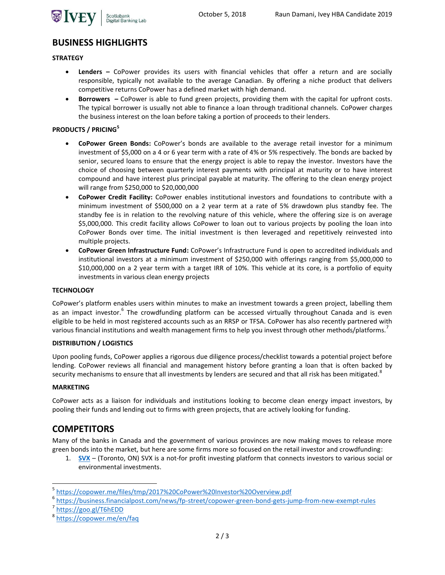

# **BUSINESS HIGHLIGHTS**

#### **STRATEGY**

- **Lenders –** CoPower provides its users with financial vehicles that offer a return and are socially responsible, typically not available to the average Canadian. By offering a niche product that delivers competitive returns CoPower has a defined market with high demand.
- **Borrowers –** CoPower is able to fund green projects, providing them with the capital for upfront costs. The typical borrower is usually not able to finance a loan through traditional channels. CoPower charges the business interest on the loan before taking a portion of proceeds to their lenders.

# **PRODUCTS / PRICING<sup>5</sup>**

- **CoPower Green Bonds:** CoPower's bonds are available to the average retail investor for a minimum investment of \$5,000 on a 4 or 6 year term with a rate of 4% or 5% respectively. The bonds are backed by senior, secured loans to ensure that the energy project is able to repay the investor. Investors have the choice of choosing between quarterly interest payments with principal at maturity or to have interest compound and have interest plus principal payable at maturity. The offering to the clean energy project will range from \$250,000 to \$20,000,000
- **CoPower Credit Facility:** CoPower enables institutional investors and foundations to contribute with a minimum investment of \$500,000 on a 2 year term at a rate of 5% drawdown plus standby fee. The standby fee is in relation to the revolving nature of this vehicle, where the offering size is on average \$5,000,000. This credit facility allows CoPower to loan out to various projects by pooling the loan into CoPower Bonds over time. The initial investment is then leveraged and repetitively reinvested into multiple projects.
- **CoPower Green Infrastructure Fund:** CoPower's Infrastructure Fund is open to accredited individuals and institutional investors at a minimum investment of \$250,000 with offerings ranging from \$5,000,000 to \$10,000,000 on a 2 year term with a target IRR of 10%. This vehicle at its core, is a portfolio of equity investments in various clean energy projects

### **TECHNOLOGY**

CoPower's platform enables users within minutes to make an investment towards a green project, labelling them as an impact investor.<sup>6</sup> The crowdfunding platform can be accessed virtually throughout Canada and is even eligible to be held in most registered accounts such as an RRSP or TFSA. CoPower has also recently partnered with various financial institutions and wealth management firms to help you invest through other methods/platforms.<sup>7</sup>

#### **DISTRIBUTION / LOGISTICS**

Upon pooling funds, CoPower applies a rigorous due diligence process/checklist towards a potential project before lending. CoPower reviews all financial and management history before granting a loan that is often backed by security mechanisms to ensure that all investments by lenders are secured and that all risk has been mitigated.<sup>8</sup>

#### **MARKETING**

 $\overline{a}$ 

CoPower acts as a liaison for individuals and institutions looking to become clean energy impact investors, by pooling their funds and lending out to firms with green projects, that are actively looking for funding.

# **COMPETITORS**

Many of the banks in Canada and the government of various provinces are now making moves to release more green bonds into the market, but here are some firms more so focused on the retail investor and crowdfunding:

1. **SVX** – (Toronto, ON) SVX is a not-for profit investing platform that connects investors to various social or environmental investments.

<sup>5</sup> <https://copower.me/files/tmp/2017%20CoPower%20Investor%20Overview.pdf>

<sup>6</sup> <https://business.financialpost.com/news/fp-street/copower-green-bond-gets-jump-from-new-exempt-rules>

<sup>7</sup> <https://goo.gl/T6hEDD>

<sup>&</sup>lt;sup>8</sup><https://copower.me/en/faq>